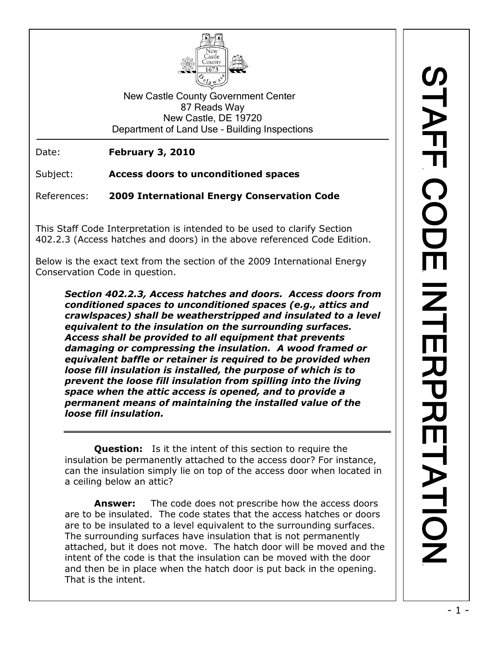

New Castle County Government Center 87 Reads Way New Castle, DE 19720 Department of Land Use – Building Inspections

Date: **February 3, 2010**

Subject: **Access doors to unconditioned spaces**

References: **2009 International Energy Conservation Code**

This Staff Code Interpretation is intended to be used to clarify Section 402.2.3 (Access hatches and doors) in the above referenced Code Edition.

Below is the exact text from the section of the 2009 International Energy Conservation Code in question.

*Section 402.2.3, Access hatches and doors. Access doors from conditioned spaces to unconditioned spaces (e.g., attics and crawlspaces) shall be weatherstripped and insulated to a level equivalent to the insulation on the surrounding surfaces. Access shall be provided to all equipment that prevents damaging or compressing the insulation. A wood framed or equivalent baffle or retainer is required to be provided when loose fill insulation is installed, the purpose of which is to prevent the loose fill insulation from spilling into the living space when the attic access is opened, and to provide a permanent means of maintaining the installed value of the loose fill insulation.*

**Question:** Is it the intent of this section to require the insulation be permanently attached to the access door? For instance, can the insulation simply lie on top of the access door when located in a ceiling below an attic?

**Answer:** The code does not prescribe how the access doors are to be insulated. The code states that the access hatches or doors are to be insulated to a level equivalent to the surrounding surfaces. The surrounding surfaces have insulation that is not permanently attached, but it does not move. The hatch door will be moved and the intent of the code is that the insulation can be moved with the door and then be in place when the hatch door is put back in the opening. That is the intent.